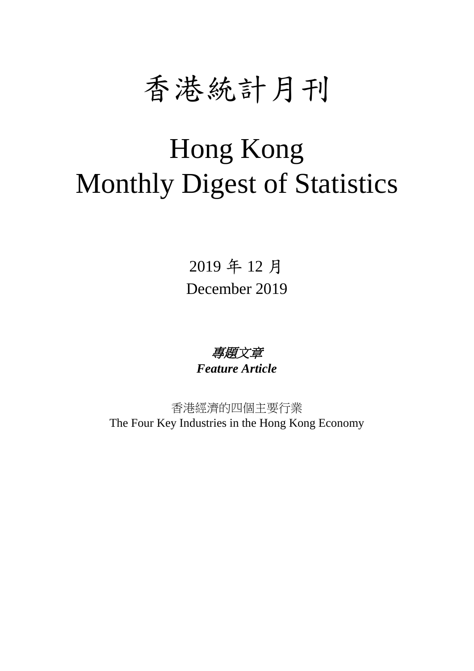

# Hong Kong Monthly Digest of Statistics

2019 年 12 月 December 2019

專題文章 *Feature Article*

香港經濟的四個主要行業 The Four Key Industries in the Hong Kong Economy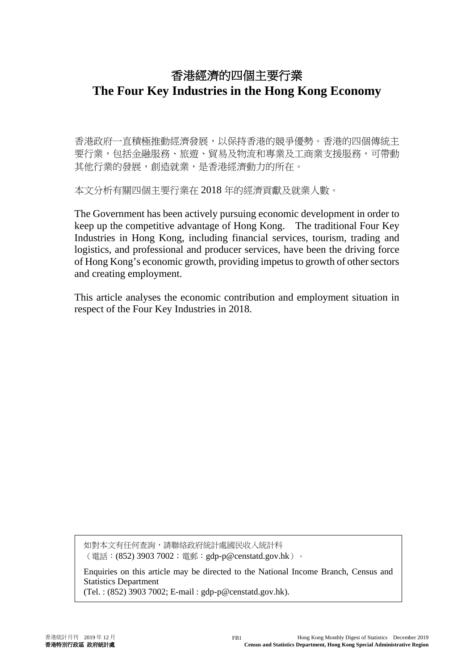# 香港經濟的四個主要行業 **The Four Key Industries in the Hong Kong Economy**

香港政府一直積極推動經濟發展,以保持香港的競爭優勢。香港的四個傳統主 要行業,包括金融服務、旅遊、貿易及物流和專業及工商業支援服務,可帶動 其他行業的發展,創造就業,是香港經濟動力的所在。

本文分析有關四個主要行業在 2018 年的經濟貢獻及就業人數。

The Government has been actively pursuing economic development in order to keep up the competitive advantage of Hong Kong. The traditional Four Key Industries in Hong Kong, including financial services, tourism, trading and logistics, and professional and producer services, have been the driving force of Hong Kong's economic growth, providing impetus to growth of other sectors and creating employment.

This article analyses the economic contribution and employment situation in respect of the Four Key Industries in 2018.

如對本文有任何查詢,請聯絡政府統計處國民收入統計科 (電話:(852) 3903 7002;電郵:[gdp-p@censtatd.gov.hk](mailto:gdp-p@censtatd.gov.hk))。

Enquiries on this article may be directed to the National Income Branch, Census and Statistics Department

(Tel. : (852) 3903 7002; E-mail : gdp-p@censtatd.gov.hk).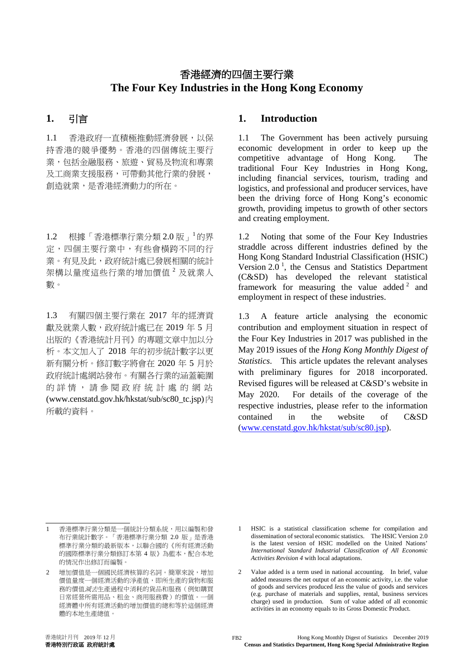# 香港經濟的四個主要行業 **The Four Key Industries in the Hong Kong Economy**

1.1 香港政府一直積極推動經濟發展,以保 持香港的競爭優勢。香港的四個傳統主要行 業,包括金融服務、旅遊、貿易及物流和專業 及工商業支援服務,可帶動其他行業的發展, 創造就業,是香港經濟動力的所在。

1.2 根據「香港標準行業分類 2.0 版」 的界 定,四個主要行業中,有些會橫跨不同的行 業。有見及此,政府統計處已發展相關的統計 架構以量度這些行業的增加價值 <sup>2</sup> 及就業人 數。

1.3 有關四個主要行業在 2017 年的經濟貢 獻及就業人數,政府統計處已在 2019 年 5 月 出版的《香港統計月刊》的專題文章中加以分 析。本文加入了 2018 年的初步統計數字以更 新有關分析。修訂數字將會在 2020 年 5 月於 政府統計處網站發布。有關各行業的涵蓋範圍 的詳情,請參閱政府統計處的網站 (www.censtatd.gov.hk/hkstat/sub/sc80\_tc.jsp)內 所載的資料。

## **1.** 引言 **1. Introduction**

1.1 The Government has been actively pursuing economic development in order to keep up the competitive advantage of Hong Kong. The traditional Four Key Industries in Hong Kong, including financial services, tourism, trading and logistics, and professional and producer services, have been the driving force of Hong Kong's economic growth, providing impetus to growth of other sectors and creating employment.

1.2 Noting that some of the Four Key Industries straddle across different industries defined by the Hong Kong Standard Industrial Classification (HSIC) Version  $2.0<sup>-1</sup>$ , the Census and Statistics Department (C&SD) has developed the relevant statistical framework for measuring the value added  $2$  and employment in respect of these industries.

1.3 A feature article analysing the economic contribution and employment situation in respect of the Four Key Industries in 2017 was published in the May 2019 issues of the *Hong Kong Monthly Digest of Statistics*. This article updates the relevant analyses with preliminary figures for 2018 incorporated. Revised figures will be released at C&SD's website in May 2020. For details of the coverage of the respective industries, please refer to the information contained in the website of C&SD [\(www.censtatd.gov.hk/hkstat/sub/sc80.jsp\)](http://www.censtatd.gov.hk/hkstat/sub/sc80.jsp).

<sup>1</sup> 香港標準行業分類是一個統計分類系統,用以編製和發 布行業統計數字。「香港標準行業分類 2.0 版」是香港 標準行業分類的最新版本,以聯合國的《所有經濟活動 的國際標準行業分類修訂本第 4 版》為藍本,配合本地 的情況作出修訂而編製。

<sup>2</sup> 增加價值是一個國民經濟核算的名詞。簡單來說,增加 價值量度一個經濟活動的淨產值,即所生產的貨物和服 務的價值減去生產過程中消耗的貨品和服務(例如購買 日常經營所需用品、租金、商用服務費)的價值。一個 經濟體中所有經濟活動的增加價值的總和等於這個經濟 體的本地生產總值。

<sup>1</sup> HSIC is a statistical classification scheme for compilation and dissemination of sectoral economic statistics. The HSIC Version 2.0 is the latest version of HSIC modelled on the United Nations' *International Standard Industrial Classification of All Economic Activities Revision 4* with local adaptations.

<sup>2</sup> Value added is a term used in national accounting. In brief, value added measures the net output of an economic activity, i.e. the value of goods and services produced *less* the value of goods and services (e.g. purchase of materials and supplies, rental, business services charge) used in production. Sum of value added of all economic activities in an economy equals to its Gross Domestic Product.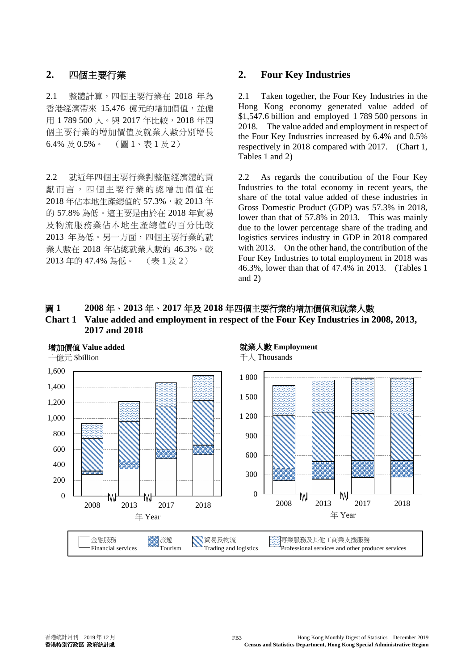2.1 整體計算,四個主要行業在 2018 年為 香港經濟帶來 15,476 億元的增加價值,並僱 用 1 789 500 人。與 2017 年比較, 2018 年四 個主要行業的增加價值及就業人數分別增長 6.4% 及 0.5%。 (圖 1、表 1 及 2)

2.2 就近年四個主要行業對整個經濟體的貢 獻 而 言 ,四個主要行業的總增加價值在 2018年佔本地生產總值的 57.3%,較 2013年 的 57.8% 為低。這主要是由於在 2018 年貿易 及物流服務業佔本地生產總值的百分比較 2013 年為低。另一方面,四個主要行業的就 業人數在 2018 年佔總就業人數的 46.3%,較 2013 年的 47.4% 為低。 (表 1 及 2)

## **2.** 四個主要行業 **2. Four Key Industries**

2.1 Taken together, the Four Key Industries in the Hong Kong economy generated value added of \$1,547.6 billion and employed 1 789 500 persons in 2018. The value added and employment in respect of the Four Key Industries increased by 6.4% and 0.5% respectively in 2018 compared with 2017. (Chart 1, Tables 1 and 2)

2.2 As regards the contribution of the Four Key Industries to the total economy in recent years, the share of the total value added of these industries in Gross Domestic Product (GDP) was 57.3% in 2018, lower than that of 57.8% in 2013. This was mainly due to the lower percentage share of the trading and logistics services industry in GDP in 2018 compared with 2013. On the other hand, the contribution of the Four Key Industries to total employment in 2018 was 46.3%, lower than that of 47.4% in 2013. (Tables 1 and 2)

# 圖 **1 2008** 年、**2013** 年、**2017** 年及 **2018** 年四個主要行業的增加價值和就業人數 **Chart 1 Value added and employment in respect of the Four Key Industries in 2008, 2013, 2017 and 2018**

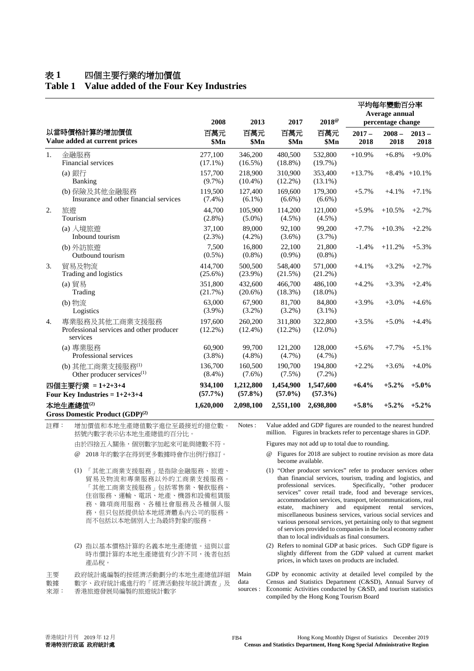# 表 **1** 四個主要行業的增加價值

# **Table 1 Value added of the Four Key Industries**

|                                                                                                                                                                                       |                                                                          | 2008                  | 2013                      | 2017                                                                                                                                                                                                                                                                                                                                                                                                                                                                                                                                                                                                                             | $2018^\circ$                                                                                                 | 平均每年變動百分率<br>Average annual<br>percentage change |                  |                  |  |
|---------------------------------------------------------------------------------------------------------------------------------------------------------------------------------------|--------------------------------------------------------------------------|-----------------------|---------------------------|----------------------------------------------------------------------------------------------------------------------------------------------------------------------------------------------------------------------------------------------------------------------------------------------------------------------------------------------------------------------------------------------------------------------------------------------------------------------------------------------------------------------------------------------------------------------------------------------------------------------------------|--------------------------------------------------------------------------------------------------------------|--------------------------------------------------|------------------|------------------|--|
| 以當時價格計算的增加價值<br>Value added at current prices                                                                                                                                         |                                                                          | 百萬元<br>\$Mn           | 百萬元<br>\$Mn               | 百萬元<br>\$Mn                                                                                                                                                                                                                                                                                                                                                                                                                                                                                                                                                                                                                      | 百萬元<br>\$Mn                                                                                                  | $2017 -$<br>2018                                 | $2008 -$<br>2018 | $2013 -$<br>2018 |  |
| 1.                                                                                                                                                                                    | 金融服務<br>Financial services                                               | 277,100<br>$(17.1\%)$ | 346,200<br>$(16.5\%)$     | 480,500<br>$(18.8\%)$                                                                                                                                                                                                                                                                                                                                                                                                                                                                                                                                                                                                            | 532,800<br>(19.7%)                                                                                           | $+10.9%$                                         | $+6.8%$          | $+9.0%$          |  |
|                                                                                                                                                                                       | (a) 銀行<br>Banking                                                        | 157,700<br>$(9.7\%)$  | 218,900<br>$(10.4\%)$     | 310,900<br>$(12.2\%)$                                                                                                                                                                                                                                                                                                                                                                                                                                                                                                                                                                                                            | 353,400<br>$(13.1\%)$                                                                                        | $+13.7%$                                         |                  | $+8.4\% +10.1\%$ |  |
|                                                                                                                                                                                       | (b) 保險及其他金融服務<br>Insurance and other financial services                  | 119,500<br>$(7.4\%)$  | 127,400<br>$(6.1\%)$      | 169,600<br>$(6.6\%)$                                                                                                                                                                                                                                                                                                                                                                                                                                                                                                                                                                                                             | 179,300<br>$(6.6\%)$                                                                                         | $+5.7%$                                          | $+4.1%$          | $+7.1%$          |  |
| 2.                                                                                                                                                                                    | 旅遊<br>Tourism                                                            | 44,700<br>$(2.8\%)$   | 105,900<br>$(5.0\%)$      | 114,200<br>$(4.5\%)$                                                                                                                                                                                                                                                                                                                                                                                                                                                                                                                                                                                                             | 121,000<br>$(4.5\%)$                                                                                         | $+5.9%$                                          | $+10.5%$         | $+2.7%$          |  |
|                                                                                                                                                                                       | (a) 入境旅遊<br>Inbound tourism                                              | 37,100<br>(2.3%)      | 89,000<br>$(4.2\%)$       | 92,100<br>$(3.6\%)$                                                                                                                                                                                                                                                                                                                                                                                                                                                                                                                                                                                                              | 99,200<br>(3.7%)                                                                                             | $+7.7%$                                          | $+10.3%$         | $+2.2%$          |  |
|                                                                                                                                                                                       | (b) 外訪旅遊<br>Outbound tourism                                             | 7,500<br>$(0.5\%)$    | 16,800<br>$(0.8\%)$       | 22,100<br>$(0.9\%)$                                                                                                                                                                                                                                                                                                                                                                                                                                                                                                                                                                                                              | 21,800<br>$(0.8\%)$                                                                                          | $-1.4%$                                          | $+11.2%$         | $+5.3%$          |  |
| 3.                                                                                                                                                                                    | 貿易及物流<br>Trading and logistics                                           | 414,700<br>$(25.6\%)$ | 500,500<br>$(23.9\%)$     | 548,400<br>(21.5%)                                                                                                                                                                                                                                                                                                                                                                                                                                                                                                                                                                                                               | 571,000<br>(21.2%)                                                                                           | $+4.1%$                                          | $+3.2%$          | $+2.7%$          |  |
|                                                                                                                                                                                       | (a) 貿易<br>Trading                                                        | 351,800<br>(21.7%)    | 432,600<br>$(20.6\%)$     | 466,700<br>$(18.3\%)$                                                                                                                                                                                                                                                                                                                                                                                                                                                                                                                                                                                                            | 486,100<br>$(18.0\%)$                                                                                        | $+4.2%$                                          | $+3.3%$          | $+2.4%$          |  |
|                                                                                                                                                                                       | (b) 物流<br>Logistics                                                      | 63,000<br>$(3.9\%)$   | 67,900<br>$(3.2\%)$       | 81,700<br>$(3.2\%)$                                                                                                                                                                                                                                                                                                                                                                                                                                                                                                                                                                                                              | 84,800<br>$(3.1\%)$                                                                                          | $+3.9%$                                          | $+3.0%$          | $+4.6%$          |  |
| 4.                                                                                                                                                                                    | 專業服務及其他工商業支援服務<br>Professional services and other producer<br>services   | 197,600<br>$(12.2\%)$ | 260,200<br>$(12.4\%)$     | 311,800<br>$(12.2\%)$                                                                                                                                                                                                                                                                                                                                                                                                                                                                                                                                                                                                            | 322,800<br>$(12.0\%)$                                                                                        | $+3.5%$                                          | $+5.0%$          | $+4.4%$          |  |
|                                                                                                                                                                                       | (a) 專業服務<br>Professional services                                        | 60,900<br>$(3.8\%)$   | 99,700<br>$(4.8\%)$       | 121,200<br>$(4.7\%)$                                                                                                                                                                                                                                                                                                                                                                                                                                                                                                                                                                                                             | 128,000<br>$(4.7\%)$                                                                                         | $+5.6%$                                          | $+7.7%$          | $+5.1%$          |  |
|                                                                                                                                                                                       | (b) 其他工商業支援服務(1)<br>Other producer services <sup>(1)</sup>               | 136,700<br>$(8.4\%)$  | 160,500<br>$(7.6\%)$      | 190,700<br>$(7.5\%)$                                                                                                                                                                                                                                                                                                                                                                                                                                                                                                                                                                                                             | 194,800<br>$(7.2\%)$                                                                                         | $+2.2%$                                          | $+3.6%$          | $+4.0%$          |  |
| 四個主要行業 = 1+2+3+4<br>Four Key Industries = $1+2+3+4$                                                                                                                                   |                                                                          | 934,100<br>$(57.7\%)$ | 1,212,800<br>$(57.8\%)$   | 1,454,900<br>$(57.0\%)$                                                                                                                                                                                                                                                                                                                                                                                                                                                                                                                                                                                                          | 1,547,600<br>$(57.3\%)$                                                                                      | $+6.4%$                                          | $+5.2%$          | $+5.0%$          |  |
| 本地生產總值(2)                                                                                                                                                                             |                                                                          | 1,620,000             | 2,098,100                 | 2,551,100                                                                                                                                                                                                                                                                                                                                                                                                                                                                                                                                                                                                                        | 2,698,800                                                                                                    | $+5.8\%$                                         | $+5.2%$          | $+5.2\%$         |  |
|                                                                                                                                                                                       | Gross Domestic Product (GDP) <sup>(2)</sup>                              |                       |                           |                                                                                                                                                                                                                                                                                                                                                                                                                                                                                                                                                                                                                                  |                                                                                                              |                                                  |                  |                  |  |
| 註釋:                                                                                                                                                                                   | 增加價值和本地生產總值數字進位至最接近的億位數。<br>括號內數字表示佔本地生產總值的百分比。                          |                       | Notes:                    | Value added and GDP figures are rounded to the nearest hundred<br>million. Figures in brackets refer to percentage shares in GDP.                                                                                                                                                                                                                                                                                                                                                                                                                                                                                                |                                                                                                              |                                                  |                  |                  |  |
|                                                                                                                                                                                       | 由於四捨五入關係,個別數字加起來可能與總數不符。                                                 |                       |                           | Figures may not add up to total due to rounding.                                                                                                                                                                                                                                                                                                                                                                                                                                                                                                                                                                                 |                                                                                                              |                                                  |                  |                  |  |
| @ 2018年的數字在得到更多數據時會作出例行修訂。                                                                                                                                                            |                                                                          |                       |                           | @ Figures for 2018 are subject to routine revision as more data<br>become available.                                                                                                                                                                                                                                                                                                                                                                                                                                                                                                                                             |                                                                                                              |                                                  |                  |                  |  |
| 「其他工商業支援服務」是指除金融服務、旅遊、<br>(1)<br>貿易及物流和專業服務以外的工商業支援服務。<br>「其他工商業支援服務」包括零售業、餐飲服務、<br>住宿服務、運輸、電訊、地產、機器和設備租賃服<br>務、雜項商用服務、各種社會服務及各種個人服<br>務,但只包括提供給本地經濟體系內公司的服務,<br>而不包括以本地個別人士為最終對象的服務。 |                                                                          |                       |                           | (1) "Other producer services" refer to producer services other<br>than financial services, tourism, trading and logistics, and<br>Specifically, "other producer<br>professional services.<br>services" cover retail trade, food and beverage services,<br>accommodation services, transport, telecommunications, real<br>machinery and equipment rental services,<br>estate,<br>miscellaneous business services, various social services and<br>various personal services, yet pertaining only to that segment<br>of services provided to companies in the local economy rather<br>than to local individuals as final consumers. |                                                                                                              |                                                  |                  |                  |  |
|                                                                                                                                                                                       | (2) 指以基本價格計算的名義本地生產總值。這與以當<br>時市價計算的本地生產總值有少許不同,後者包括<br>產品稅。             |                       |                           | (2) Refers to nominal GDP at basic prices. Such GDP figure is                                                                                                                                                                                                                                                                                                                                                                                                                                                                                                                                                                    | slightly different from the GDP valued at current market<br>prices, in which taxes on products are included. |                                                  |                  |                  |  |
| 主要<br>數據<br>來源:                                                                                                                                                                       | 政府統計處編製的按經濟活動劃分的本地生產總值詳細<br>數字、政府統計處進行的「經濟活動按年統計調查」及<br>香港旅遊發展局編製的旅遊統計數字 |                       | Main<br>data<br>sources : | GDP by economic activity at detailed level compiled by the<br>Census and Statistics Department (C&SD), Annual Survey of<br>Economic Activities conducted by C&SD, and tourism statistics<br>compiled by the Hong Kong Tourism Board                                                                                                                                                                                                                                                                                                                                                                                              |                                                                                                              |                                                  |                  |                  |  |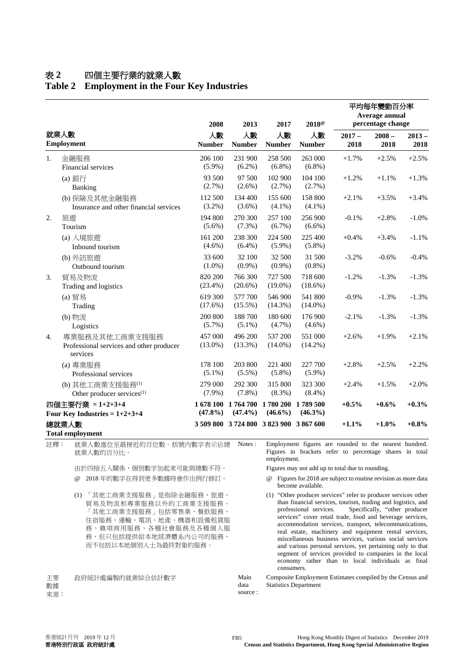## 表 **2** 四個主要行業的就業人數

# **Table 2 Employment in the Four Key Industries**

|                                                     |                                                                        | 2008                    | 2013                                    | 2017                            | $2018^{\circ}$         | 平均每年變動百分率<br>Average annual<br>percentage change |                  |                  |
|-----------------------------------------------------|------------------------------------------------------------------------|-------------------------|-----------------------------------------|---------------------------------|------------------------|--------------------------------------------------|------------------|------------------|
| 就業人數<br><b>Employment</b>                           |                                                                        | 人數<br><b>Number</b>     | 人數<br><b>Number</b>                     | 人數<br><b>Number</b>             | 人數<br><b>Number</b>    | $2017 -$<br>2018                                 | $2008 -$<br>2018 | $2013 -$<br>2018 |
| 1.                                                  | 金融服務<br>Financial services                                             | 206 100<br>$(5.9\%)$    | 231 900<br>$(6.2\%)$                    | 258 500<br>$(6.8\%)$            | 263 000<br>$(6.8\%)$   | $+1.7%$                                          | $+2.5%$          | $+2.5%$          |
|                                                     | (a) 銀行<br>Banking                                                      | 93 500<br>(2.7%)        | 97 500<br>$(2.6\%)$                     | 102 900<br>$(2.7\%)$            | 104 100<br>$(2.7\%)$   | $+1.2%$                                          | $+1.1%$          | $+1.3%$          |
|                                                     | (b) 保險及其他金融服務<br>Insurance and other financial services                | 112 500<br>$(3.2\%)$    | 134 400<br>$(3.6\%)$                    | 155 600<br>$(4.1\%)$            | 158 800<br>$(4.1\%)$   | $+2.1%$                                          | $+3.5%$          | $+3.4%$          |
| 2.                                                  | 旅遊<br>Tourism                                                          | 194 800<br>$(5.6\%)$    | 270 300<br>$(7.3\%)$                    | 257 100<br>$(6.7\%)$            | 256 900<br>$(6.6\%)$   | $-0.1%$                                          | $+2.8%$          | $-1.0%$          |
|                                                     | (a) 入境旅遊<br>Inbound tourism                                            | 161 200<br>$(4.6\%)$    | 238 300<br>$(6.4\%)$                    | 224 500<br>$(5.9\%)$            | 225 400<br>$(5.8\%)$   | $+0.4%$                                          | $+3.4%$          | $-1.1%$          |
|                                                     | (b) 外訪旅遊<br>Outbound tourism                                           | 33 600<br>$(1.0\%)$     | 32 100<br>$(0.9\%)$                     | 32 500<br>$(0.9\%)$             | 31 500<br>$(0.8\%)$    | $-3.2%$                                          | $-0.6%$          | $-0.4%$          |
| 3.                                                  | 貿易及物流<br>Trading and logistics                                         | 820 200<br>$(23.4\%)$   | 766 300<br>$(20.6\%)$                   | 727 500<br>$(19.0\%)$           | 718 600<br>$(18.6\%)$  | $-1.2%$                                          | $-1.3%$          | $-1.3%$          |
|                                                     | (a) 貿易<br>Trading                                                      | 619 300<br>$(17.6\%)$   | 577 700<br>$(15.5\%)$                   | 546 900<br>$(14.3\%)$           | 541 800<br>$(14.0\%)$  | $-0.9\%$                                         | $-1.3%$          | $-1.3%$          |
|                                                     | (b) 物流<br>Logistics                                                    | 200 800<br>$(5.7\%)$    | 188 700<br>$(5.1\%)$                    | 180 600<br>$(4.7\%)$            | 176 900<br>$(4.6\%)$   | $-2.1%$                                          | $-1.3%$          | $-1.3%$          |
| 4.                                                  | 專業服務及其他工商業支援服務<br>Professional services and other producer<br>services | 457 000<br>$(13.0\%)$   | 496 200<br>$(13.3\%)$                   | 537 200<br>$(14.0\%)$           | 551 000<br>$(14.2\%)$  | $+2.6%$                                          | $+1.9%$          | $+2.1%$          |
|                                                     | (a) 專業服務<br>Professional services                                      | 178 100<br>$(5.1\%)$    | 203 800<br>$(5.5\%)$                    | 221 400<br>$(5.8\%)$            | 227 700<br>$(5.9\%)$   | $+2.8%$                                          | $+2.5%$          | $+2.2%$          |
|                                                     | (b) 其他工商業支援服務(1)<br>Other producer services <sup>(1)</sup>             | 279 000<br>$(7.9\%)$    | 292 300<br>$(7.8\%)$                    | 315 800<br>$(8.3\%)$            | 323 300<br>$(8.4\%)$   | $+2.4%$                                          | $+1.5%$          | $+2.0%$          |
| 四個主要行業 = 1+2+3+4<br>Four Key Industries = $1+2+3+4$ |                                                                        | 1 678 100<br>$(47.8\%)$ | $(47.4\%)$                              | 1764 700 1780 200<br>$(46.6\%)$ | 1789 500<br>$(46.3\%)$ | $+0.5%$                                          | $+0.6%$          | $+0.3%$          |
|                                                     | 總就業人數<br><b>Total employment</b>                                       |                         | 3 509 800 3 724 800 3 823 900 3 867 600 |                                 |                        | $+1.1%$                                          | $+1.0%$          | $+0.8\%$         |

註釋: 就業人數進位至最接近的百位數。括號內數字表示佔總 就業人數的百分比。

> 由於四捨五入關係,個別數字加起來可能與總數不符。 Figures may not add up to total due to rounding. @ 2018 年的數字在得到更多數據時會作出例行修訂。 @ Figures for 2018 are subject to routine revision as more data

(1) 「其他工商業支援服務」是指除金融服務、旅遊、 貿易及物流和專業服務以外的工商業支援服務。 「其他工商業支援服務」包括零售業、餐飲服務、 住宿服務、運輸、電訊、地產、機器和設備租賃服 務、雜項商用服務、各種社會服務及各種個人服 務,但只包括提供給本地經濟體系內公司的服務, 而不包括以本地個別人士為最終對象的服務。

主要 數據 來源: 政府統計處編製的就業綜合估計數字 Main

Notes : Employment figures are rounded to the nearest hundred. Figures in brackets refer to percentage shares in total employment.

- become available.
- (1) "Other producer services" refer to producer services other than financial services, tourism, trading and logistics, and professional services. Specifically, "other producer Specifically, "other producer services" cover retail trade, food and beverage services, accommodation services, transport, telecommunications, real estate, machinery and equipment rental services, miscellaneous business services, various social services and various personal services, yet pertaining only to that segment of services provided to companies in the local economy rather than to local individuals as final consumers.

data source : Composite Employment Estimates compiled by the Census and Statistics Department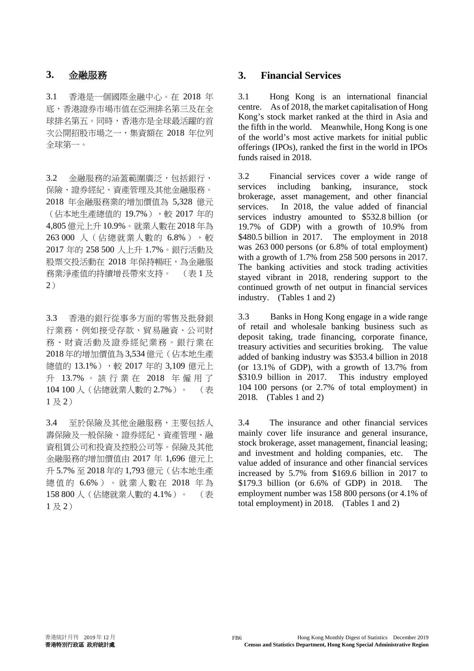3.1 香港是一個國際金融中心。在 2018 年 底,香港證券市場市值在亞洲排名第三及在全 球排名第五。同時,香港亦是全球最活躍的首 次公開招股市場之一,集資額在 2018 年位列 全球第一。

3.2 金融服務的涵蓋範圍廣泛,包括銀行、 保險、證券經紀、資產管理及其他金融服務。 2018 年金融服務業的增加價值為 5,328 億元 (佔本地生產總值的 19.7%),較 2017年的 4,805 億元上升 10.9%。就業人數在 2018 年為 263 000 人 (佔總就業人數的 6.8%),較 2017 年的 258 500 人上升 1.7%。銀行活動及 股票交投活動在 2018 年保持暢旺,為金融服 務業淨產值的持續增長帶來支持。 (表 1 及 2)

3.3 香港的銀行從事多方面的零售及批發銀 行業務,例如接受存款、貿易融資、公司財 務、財資活動及證券經紀業務。銀行業在 2018 年的增加價值為 3,534 億元(佔本地生產 總值的 13.1%),較 2017年的 3,109 億元上 升 13.7% 。 該 行 業 在 2018 年僱用了 104 100 人(佔總就業人數的 2.7%)。 (表  $1 \nrightarrow 2$ )

3.4 至於保險及其他金融服務,主要包括人 壽保險及一般保險、證券經紀、資產管理、融 資租賃公司和投資及控股公司等。保險及其他 金融服務的增加價值由 2017 年 1,696 億元上 升 5.7% 至 2018 年的 1,793 億元(佔本地生產 總值的 6.6% ) 。 就業人數在 2018 年 為 158 800 人(佔總就業人數的 4.1%)。 (表  $1 \overline{R} 2$ 

## **3.** 金融服務 **3. Financial Services**

3.1 Hong Kong is an international financial centre. As of 2018, the market capitalisation of Hong Kong's stock market ranked at the third in Asia and the fifth in the world. Meanwhile, Hong Kong is one of the world's most active markets for initial public offerings (IPOs), ranked the first in the world in IPOs funds raised in 2018.

3.2 Financial services cover a wide range of services including banking, insurance, stock brokerage, asset management, and other financial services. In 2018, the value added of financial services industry amounted to \$532.8 billion (or 19.7% of GDP) with a growth of 10.9% from \$480.5 billion in 2017. The employment in 2018 was 263 000 persons (or 6.8% of total employment) with a growth of 1.7% from 258 500 persons in 2017. The banking activities and stock trading activities stayed vibrant in 2018, rendering support to the continued growth of net output in financial services industry. (Tables 1 and 2)

3.3 Banks in Hong Kong engage in a wide range of retail and wholesale banking business such as deposit taking, trade financing, corporate finance, treasury activities and securities broking. The value added of banking industry was \$353.4 billion in 2018 (or 13.1% of GDP), with a growth of 13.7% from \$310.9 billion in 2017. This industry employed 104 100 persons (or 2.7% of total employment) in 2018. (Tables 1 and 2)

3.4 The insurance and other financial services mainly cover life insurance and general insurance, stock brokerage, asset management, financial leasing; and investment and holding companies, etc. The value added of insurance and other financial services increased by 5.7% from \$169.6 billion in 2017 to \$179.3 billion (or 6.6% of GDP) in 2018. The employment number was 158 800 persons (or 4.1% of total employment) in 2018. (Tables 1 and 2)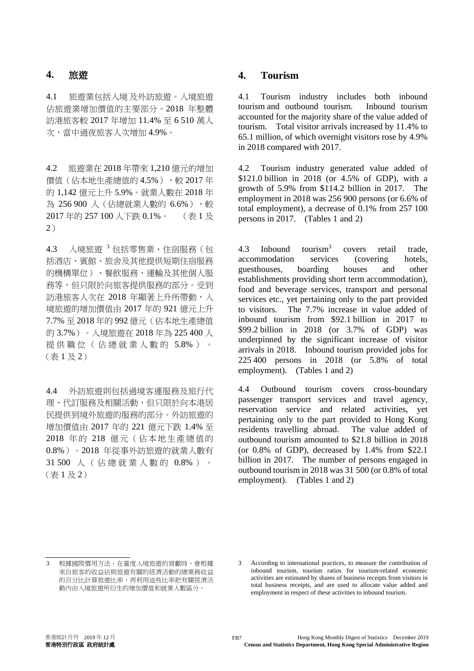4.1 旅遊業包括入境 及外訪旅遊。入境旅遊 佔旅遊業增加價值的主要部分。2018 年整體 訪港旅客較 2017 年增加 11.4% 至 6 510 萬人 次,當中過夜旅客人次增加 4.9%。

4.2 旅遊業在 2018 年帶來 1,210 億元的增加 價值(佔本地生產總值的 4.5%),較 2017年 的 1,142 億元上升 5.9%。就業人數在 2018 年 為 256 900 人 (佔總就業人數的 6.6%),較 2017 年的 257 100 人下跌 0.1%。 (表 1 及 2)

4.3 入境旅遊 <sup>3</sup> 包括零售業、住宿服務(包 括酒店、賓館、旅舍及其他提供短期住宿服務 的機構單位)、餐飲服務、運輸及其他個人服 務等,但只限於向旅客提供服務的部分。受到 訪港旅客人次在 2018 年顯著上升所帶動,入 境旅遊的增加價值由 2017 年的 921 億元上升 7.7% 至 2018 年的 992 億元(佔本地生產總值 的 3.7%)。入境旅遊在 2018 年為 225 400 人 提供職位(佔總就業人數的 5.8% ) 。 (表 1 及 2)

4.4 外訪旅遊則包括過境客運服務及旅行代 理、代訂服務及相關活動,但只限於向本港居 民提供到境外旅遊的服務的部分。外訪旅遊的 增加價值由 2017 年的 221 億元下跌 1.4% 至 2018 年的 218 億元(佔本地生產總值的 0.8%)。2018 年從事外訪旅遊的就業人數有 31 500 人 (佔總就業人數的 0.8% ) 。 (表 1 及 2)

# **4.** 旅遊 **4. Tourism**

4.1 Tourism industry includes both inbound tourism and outbound tourism. Inbound tourism accounted for the majority share of the value added of tourism. Total visitor arrivals increased by 11.4% to 65.1 million, of which overnight visitors rose by 4.9% in 2018 compared with 2017.

4.2 Tourism industry generated value added of \$121.0 billion in 2018 (or 4.5% of GDP), with a growth of 5.9% from \$114.2 billion in 2017. The employment in 2018 was 256 900 persons (or 6.6% of total employment), a decrease of 0.1% from 257 100 persons in 2017. (Tables 1 and 2)

4.3 Inbound tourism<sup>3</sup> covers retail trade, accommodation services (covering hotels, guesthouses, boarding houses and other establishments providing short term accommodation), food and beverage services, transport and personal services etc., yet pertaining only to the part provided to visitors. The 7.7% increase in value added of inbound tourism from \$92.1 billion in 2017 to \$99.2 billion in 2018 (or 3.7% of GDP) was underpinned by the significant increase of visitor arrivals in 2018. Inbound tourism provided jobs for 225 400 persons in 2018 (or 5.8% of total employment). (Tables 1 and 2)

4.4 Outbound tourism covers cross-boundary passenger transport services and travel agency, reservation service and related activities, yet pertaining only to the part provided to Hong Kong residents travelling abroad. The value added of outbound tourism amounted to \$21.8 billion in 2018 (or 0.8% of GDP), decreased by 1.4% from \$22.1 billion in 2017. The number of persons engaged in outbound tourism in 2018 was 31 500 (or 0.8% of total employment). (Tables 1 and 2)

3 According to international practices, to measure the contribution of inbound tourism, tourism ratios for tourism-related economic activities are estimated by shares of business receipts from visitors in total business receipts, and are used to allocate value added and employment in respect of these activities to inbound tourism.

根據國際慣用方法,在量度入境旅遊的貢獻時,會根據 來自旅客的收益佔與旅遊有關的經濟活動的總業務收益 的百分比計算旅遊比率,再利用這些比率把有關經濟活 動內由入境旅遊所衍生的增加價值和就業人數區分。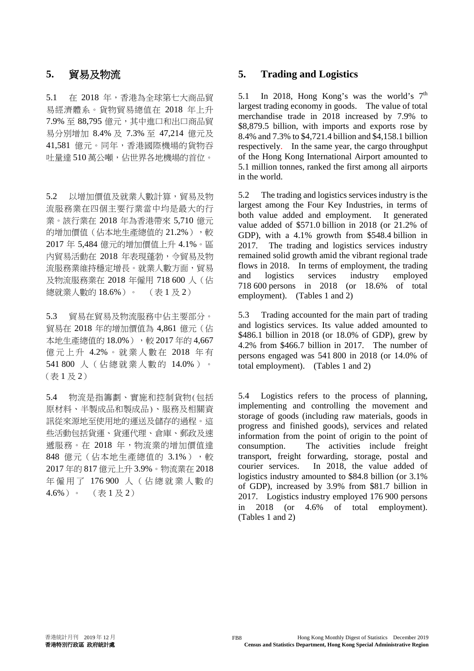5.1 在 2018 年,香港為全球第七大商品貿 易經濟體系。貨物貿易總值在 2018 年上升 7.9% 至 88,795 億元,其中進口和出口商品貿 易分別增加 8.4% 及 7.3% 至 47,214 億元及 41,581 億元。同年,香港國際機場的貨物吞 吐量達 510 萬公噸,佔世界各地機場的首位。

5.2 以增加價值及就業人數計算,貿易及物 流服務業在四個主要行業當中均是最大的行 業。該行業在 2018 年為香港帶來 5,710 億元 的增加價值(佔本地生產總值的 21.2%),較 2017 年 5,484 億元的增加價值上升 4.1%。區 內貿易活動在 2018 年表現蓬勃,令貿易及物 流服務業維持穩定增長。就業人數方面,貿易 及物流服務業在 2018 年僱用 718 600 人(佔 總就業人數的 18.6%)。 (表 1 及 2)

5.3 貿易在貿易及物流服務中佔主要部分。 貿易在 2018 年的增加價值為 4,861 億元(佔 本地生產總值的 18.0%), 較 2017 年的 4,667 億元上升 4.2% 。就業人數在 2018 年 有 541 800 人(佔總就業人數的 14.0%)。 (表 1 及 2)

5.4 物流是指籌劃、實施和控制貨物(包括 原材料、半製成品和製成品)、服務及相關資 訊從來源地至使用地的運送及儲存的過程。這 些活動包括貨運、貨運代理、倉庫、郵政及速 遞服務。在 2018 年,物流業的增加價值達 848 億元(佔本地生產總值的 3.1%),較 2017 年的 817 億元上升 3.9%。物流業在 2018 年僱用了 176 900 人 (佔總就業人數的  $4.6\%$ )。 (表 1 及 2)

### **5.** 貿易及物流 **5. Trading and Logistics**

5.1 In 2018, Hong Kong's was the world's  $7<sup>th</sup>$ largest trading economy in goods. The value of total merchandise trade in 2018 increased by 7.9% to \$8,879.5 billion, with imports and exports rose by 8.4% and 7.3% to \$4,721.4 billion and \$4,158.1 billion respectively. In the same year, the cargo throughput of the Hong Kong International Airport amounted to 5.1 million tonnes, ranked the first among all airports in the world.

5.2 The trading and logistics services industry is the largest among the Four Key Industries, in terms of both value added and employment. It generated value added of \$571.0 billion in 2018 (or 21.2% of GDP), with a 4.1% growth from \$548.4 billion in 2017. The trading and logistics services industry remained solid growth amid the vibrant regional trade flows in 2018. In terms of employment, the trading and logistics services industry employed 718 600 persons in 2018 (or 18.6% of total employment). (Tables 1 and 2)

5.3 Trading accounted for the main part of trading and logistics services. Its value added amounted to \$486.1 billion in 2018 (or 18.0% of GDP), grew by 4.2% from \$466.7 billion in 2017. The number of persons engaged was 541 800 in 2018 (or 14.0% of total employment). (Tables 1 and 2)

5.4 Logistics refers to the process of planning, implementing and controlling the movement and storage of goods (including raw materials, goods in progress and finished goods), services and related information from the point of origin to the point of consumption. The activities include freight transport, freight forwarding, storage, postal and courier services. In 2018, the value added of logistics industry amounted to \$84.8 billion (or 3.1% of GDP), increased by 3.9% from \$81.7 billion in 2017. Logistics industry employed 176 900 persons in 2018 (or 4.6% of total employment). (Tables 1 and 2)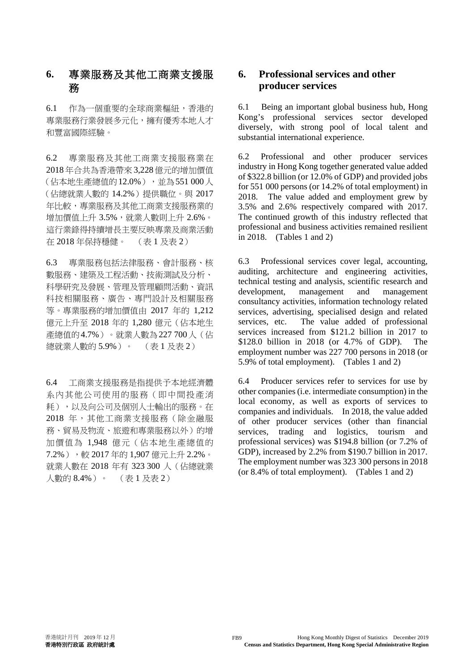# **6.** 專業服務及其他工商業支援服 務

6.1 作為一個重要的全球商業樞紐,香港的 專業服務行業發展多元化,擁有優秀本地人才 和豐富國際經驗。

6.2 專業服務及其他工商業支援服務業在 2018 年合共為香港帶來 3,228 億元的增加價值 (佔本地生產總值的12.0%),並為551 000人 (佔總就業人數的 14.2%)提供職位。與 2017 年比較,專業服務及其他工商業支援服務業的 增加價值上升 3.5%,就業人數則上升 2.6%。 這行業錄得持續增長主要反映專業及商業活動 在 2018 年保持穩健。 (表 1 及表 2)

6.3 專業服務包括法律服務、會計服務、核 數服務、建築及工程活動、技術測試及分析、 科學研究及發展、管理及管理顧問活動、資訊 科技相關服務、廣告、專門設計及相關服務 等。專業服務的增加價值由 2017 年的 1,212 億元上升至 2018 年的 1,280 億元(佔本地生 產總值的4.7%)。就業人數為227 700人(佔 總就業人數的 5.9%)。 (表 1 及表 2)

6.4 工商業支援服務是指提供予本地經濟體 系內其他公司使用的服務(即中間投產消 耗),以及向公司及個別人士輸出的服務。在 2018 年,其他工商業支援服務(除金融服 務、貿易及物流、旅遊和專業服務以外)的增 加價值為 1,948 億元(佔本地生產總值的 7.2%),較 2017 年的 1,907 億元上升 2.2%。 就業人數在 2018 年有 323 300 人(佔總就業 人數的 8.4%)。 (表 1 及表 2)

# **6. Professional services and other producer services**

6.1 Being an important global business hub, Hong Kong's professional services sector developed diversely, with strong pool of local talent and substantial international experience.

6.2 Professional and other producer services industry in Hong Kong together generated value added of \$322.8 billion (or 12.0% of GDP) and provided jobs for 551 000 persons (or 14.2% of total employment) in 2018. The value added and employment grew by 3.5% and 2.6% respectively compared with 2017. The continued growth of this industry reflected that professional and business activities remained resilient in 2018. (Tables 1 and 2)

6.3 Professional services cover legal, accounting, auditing, architecture and engineering activities, technical testing and analysis, scientific research and development, management and consultancy activities, information technology related services, advertising, specialised design and related services, etc. The value added of professional services increased from \$121.2 billion in 2017 to \$128.0 billion in 2018 (or 4.7% of GDP). The employment number was 227 700 persons in 2018 (or 5.9% of total employment). (Tables 1 and 2)

6.4 Producer services refer to services for use by other companies (i.e. intermediate consumption) in the local economy, as well as exports of services to companies and individuals. In 2018, the value added of other producer services (other than financial services, trading and logistics, tourism and professional services) was \$194.8 billion (or 7.2% of GDP), increased by 2.2% from \$190.7 billion in 2017. The employment number was 323 300 persons in 2018 (or 8.4% of total employment). (Tables 1 and 2)